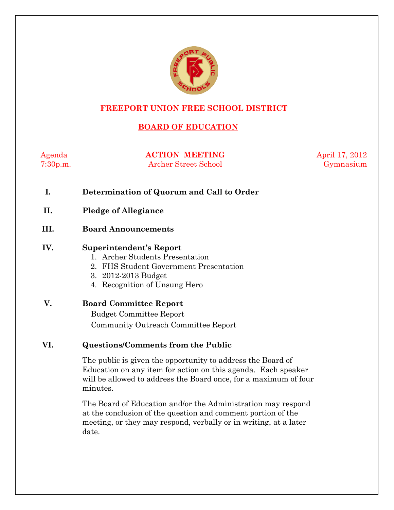

### **FREEPORT UNION FREE SCHOOL DISTRICT**

# **BOARD OF EDUCATION**

Agenda **ACTION MEETING** April 17, 2012 7:30p.m. Archer Street School Gymnasium

- **I. Determination of Quorum and Call to Order**
- **II. Pledge of Allegiance**
- **III. Board Announcements**

#### **IV. Superintendent's Report**

- 1. Archer Students Presentation
- 2. FHS Student Government Presentation
- 3. 2012-2013 Budget
- 4. Recognition of Unsung Hero

## **V. Board Committee Report**  Budget Committee Report Community Outreach Committee Report

#### **VI. Questions/Comments from the Public**

The public is given the opportunity to address the Board of Education on any item for action on this agenda. Each speaker will be allowed to address the Board once, for a maximum of four minutes.

The Board of Education and/or the Administration may respond at the conclusion of the question and comment portion of the meeting, or they may respond, verbally or in writing, at a later date.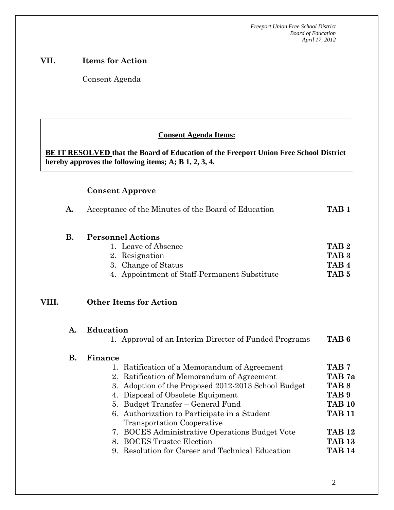#### **VII. Items for Action**

Consent Agenda

 **AA. Consent - Approve** 

#### **Consent Agenda Items:**

**BE IT RESOLVED that the Board of Education of the Freeport Union Free School District hereby approves the following items; A; B 1, 2, 3, 4.** 

#### **Consent Approve**

 *Acceptance of the Minutes*  $\mathbf{A}$ 

|    | Acceptance of the Minutes of the Board of Education | TAR              |
|----|-----------------------------------------------------|------------------|
| В. | <b>Personnel Actions</b>                            |                  |
|    | 1. Leave of Absence                                 | TAB <sub>2</sub> |
|    | 2. Resignation                                      | TAB <sub>3</sub> |
|    | 3. Change of Status                                 | TAB <sub>4</sub> |
|    | 4. Appointment of Staff-Permanent Substitute        | TAB <sub>5</sub> |

# **VIII. Other Items for Action**

# **A. Education**

**B.** 

| 1. Approval of an Interim Director of Funded Programs | TAB 6            |
|-------------------------------------------------------|------------------|
| Finance                                               |                  |
| 1. Ratification of a Memorandum of Agreement          | TAB <sub>7</sub> |
| 2. Ratification of Memorandum of Agreement            | TAB 7a           |
| 3. Adoption of the Proposed 2012-2013 School Budget   | TAB <sub>8</sub> |
| 4. Disposal of Obsolete Equipment                     | TAB <sub>9</sub> |
| 5. Budget Transfer – General Fund                     | <b>TAB 10</b>    |
| 6. Authorization to Participate in a Student          | <b>TAB 11</b>    |
| <b>Transportation Cooperative</b>                     |                  |
| 7. BOCES Administrative Operations Budget Vote        | <b>TAB 12</b>    |
| 8. BOCES Trustee Election                             | <b>TAB 13</b>    |
| 9. Resolution for Career and Technical Education      | <b>TAB 14</b>    |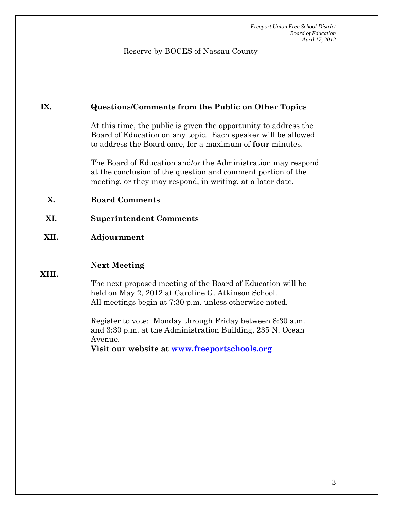Reserve by BOCES of Nassau County

#### **IX. Questions/Comments from the Public on Other Topics**

At this time, the public is given the opportunity to address the Board of Education on any topic. Each speaker will be allowed to address the Board once, for a maximum of **four** minutes.

The Board of Education and/or the Administration may respond at the conclusion of the question and comment portion of the meeting, or they may respond, in writing, at a later date.

#### **X. Board Comments**

#### **XI. Superintendent Comments**

#### **XII. Adjournment**

#### **Next Meeting**

**XIII.** 

The next proposed meeting of the Board of Education will be held on May 2, 2012 at Caroline G. Atkinson School. All meetings begin at 7:30 p.m. unless otherwise noted.

Register to vote: Monday through Friday between 8:30 a.m. and 3:30 p.m. at the Administration Building, 235 N. Ocean Avenue.

**Visit our website at www.freeportschools.org**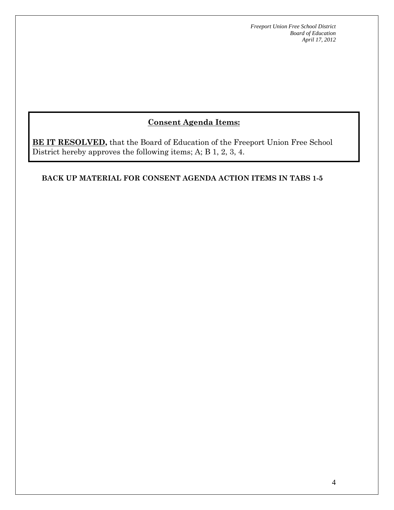# **Consent Agenda Items:**

**BE IT RESOLVED,** that the Board of Education of the Freeport Union Free School District hereby approves the following items; A; B 1, 2, 3, 4.

#### **BACK UP MATERIAL FOR CONSENT AGENDA ACTION ITEMS IN TABS 1-5**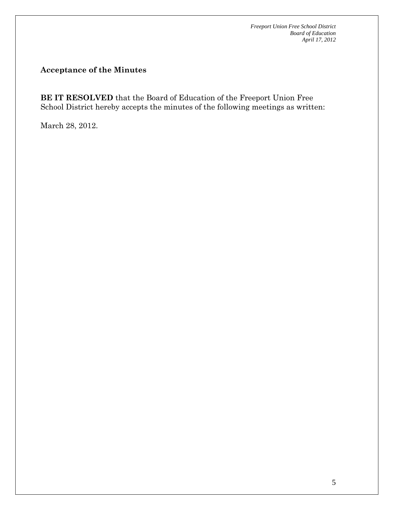## **Acceptance of the Minutes**

**BE IT RESOLVED** that the Board of Education of the Freeport Union Free School District hereby accepts the minutes of the following meetings as written:

March 28, 2012.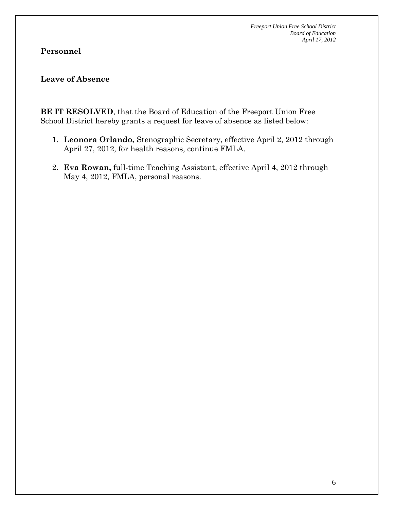## **Personnel**

#### **Leave of Absence**

**BE IT RESOLVED**, that the Board of Education of the Freeport Union Free School District hereby grants a request for leave of absence as listed below:

- 1. **Leonora Orlando,** Stenographic Secretary, effective April 2, 2012 through April 27, 2012, for health reasons, continue FMLA.
- 2. **Eva Rowan,** full-time Teaching Assistant, effective April 4, 2012 through May 4, 2012, FMLA, personal reasons.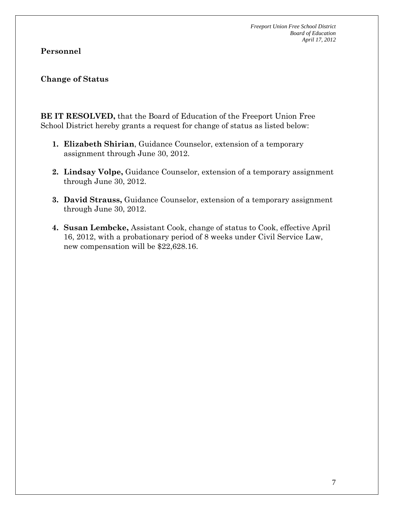### **Personnel**

#### **Change of Status**

**BE IT RESOLVED,** that the Board of Education of the Freeport Union Free School District hereby grants a request for change of status as listed below:

- **1. Elizabeth Shirian**, Guidance Counselor, extension of a temporary assignment through June 30, 2012.
- **2. Lindsay Volpe,** Guidance Counselor, extension of a temporary assignment through June 30, 2012.
- **3. David Strauss,** Guidance Counselor, extension of a temporary assignment through June 30, 2012.
- **4. Susan Lembcke,** Assistant Cook, change of status to Cook, effective April 16, 2012, with a probationary period of 8 weeks under Civil Service Law, new compensation will be \$22,628.16.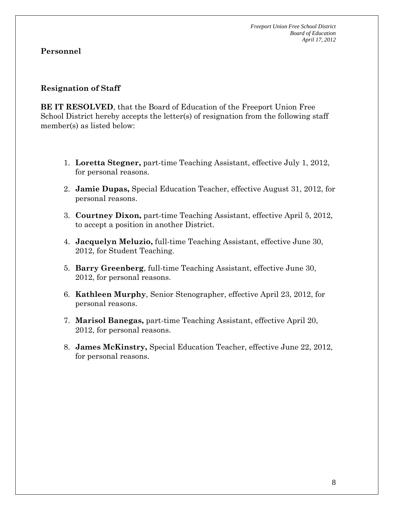### **Personnel**

#### **Resignation of Staff**

**BE IT RESOLVED**, that the Board of Education of the Freeport Union Free School District hereby accepts the letter(s) of resignation from the following staff member(s) as listed below:

- 1. **Loretta Stegner,** part-time Teaching Assistant, effective July 1, 2012, for personal reasons.
- 2. **Jamie Dupas,** Special Education Teacher, effective August 31, 2012, for personal reasons.
- 3. **Courtney Dixon,** part-time Teaching Assistant, effective April 5, 2012, to accept a position in another District.
- 4. **Jacquelyn Meluzio,** full-time Teaching Assistant, effective June 30, 2012, for Student Teaching.
- 5. **Barry Greenberg**, full-time Teaching Assistant, effective June 30, 2012, for personal reasons.
- 6. **Kathleen Murphy**, Senior Stenographer, effective April 23, 2012, for personal reasons.
- 7. **Marisol Banegas,** part-time Teaching Assistant, effective April 20, 2012, for personal reasons.
- 8. **James McKinstry,** Special Education Teacher, effective June 22, 2012, for personal reasons.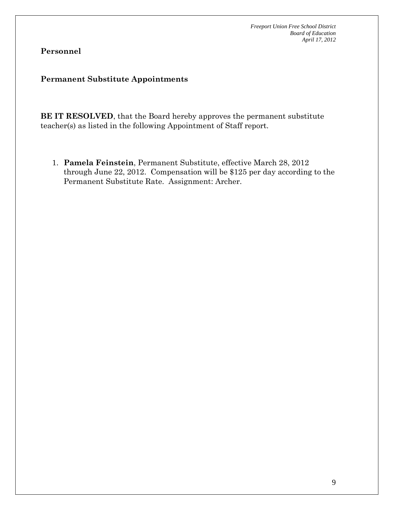# **Personnel**

#### **Permanent Substitute Appointments**

**BE IT RESOLVED**, that the Board hereby approves the permanent substitute teacher(s) as listed in the following Appointment of Staff report.

1. **Pamela Feinstein**, Permanent Substitute, effective March 28, 2012 through June 22, 2012. Compensation will be \$125 per day according to the Permanent Substitute Rate. Assignment: Archer.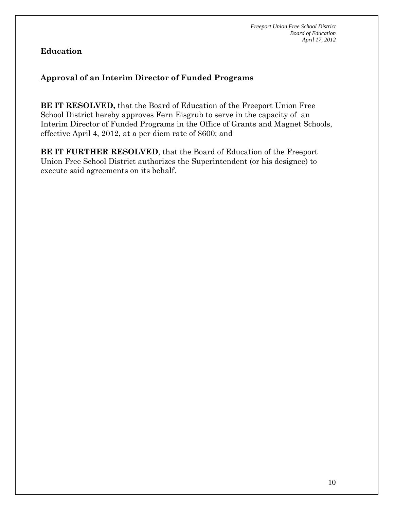# **Education**

# **Approval of an Interim Director of Funded Programs**

**BE IT RESOLVED,** that the Board of Education of the Freeport Union Free School District hereby approves Fern Eisgrub to serve in the capacity of an Interim Director of Funded Programs in the Office of Grants and Magnet Schools, effective April 4, 2012, at a per diem rate of \$600; and

**BE IT FURTHER RESOLVED**, that the Board of Education of the Freeport Union Free School District authorizes the Superintendent (or his designee) to execute said agreements on its behalf.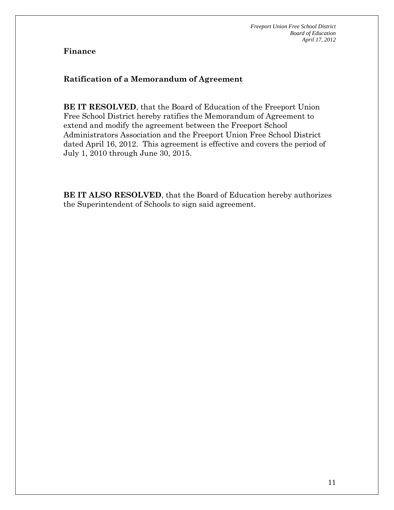## **Ratification of a Memorandum of Agreement**

**BE IT RESOLVED**, that the Board of Education of the Freeport Union Free School District hereby ratifies the Memorandum of Agreement to extend and modify the agreement between the Freeport School Administrators Association and the Freeport Union Free School District dated April 16, 2012. This agreement is effective and covers the period of July 1, 2010 through June 30, 2015.

**BE IT ALSO RESOLVED**, that the Board of Education hereby authorizes the Superintendent of Schools to sign said agreement.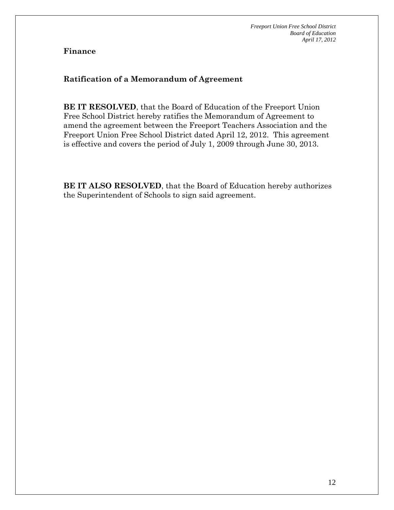## **Ratification of a Memorandum of Agreement**

**BE IT RESOLVED**, that the Board of Education of the Freeport Union Free School District hereby ratifies the Memorandum of Agreement to amend the agreement between the Freeport Teachers Association and the Freeport Union Free School District dated April 12, 2012. This agreement is effective and covers the period of July 1, 2009 through June 30, 2013.

**BE IT ALSO RESOLVED**, that the Board of Education hereby authorizes the Superintendent of Schools to sign said agreement.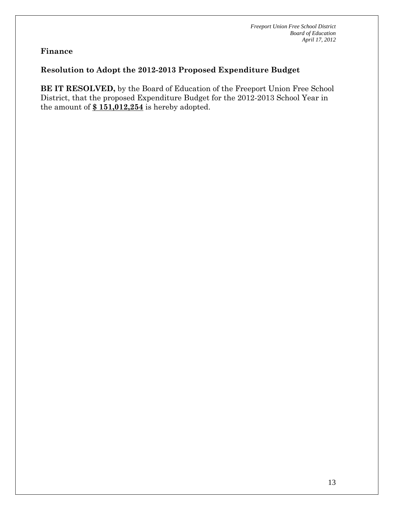# **Resolution to Adopt the 2012-2013 Proposed Expenditure Budget**

**BE IT RESOLVED,** by the Board of Education of the Freeport Union Free School District, that the proposed Expenditure Budget for the 2012-2013 School Year in the amount of **\$ 151,012,254** is hereby adopted.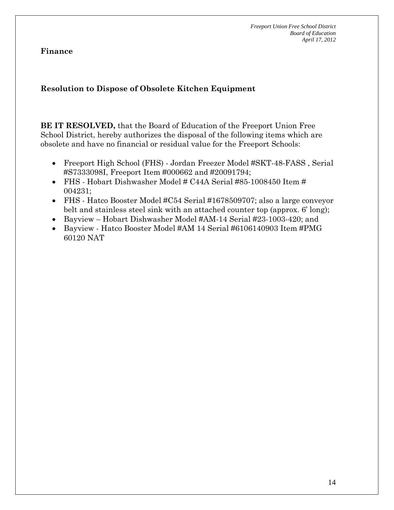**Finance** 

# **Resolution to Dispose of Obsolete Kitchen Equipment**

**BE IT RESOLVED,** that the Board of Education of the Freeport Union Free School District, hereby authorizes the disposal of the following items which are obsolete and have no financial or residual value for the Freeport Schools:

- Freeport High School (FHS) Jordan Freezer Model #SKT-48-FASS , Serial #S7333098I, Freeport Item #000662 and #20091794;
- FHS Hobart Dishwasher Model # C44A Serial #85-1008450 Item # 004231;
- FHS Hatco Booster Model #C54 Serial #1678509707; also a large conveyor belt and stainless steel sink with an attached counter top (approx. 6' long);
- Bayview Hobart Dishwasher Model #AM-14 Serial #23-1003-420; and
- Bayview Hatco Booster Model #AM 14 Serial #6106140903 Item #PMG 60120 NAT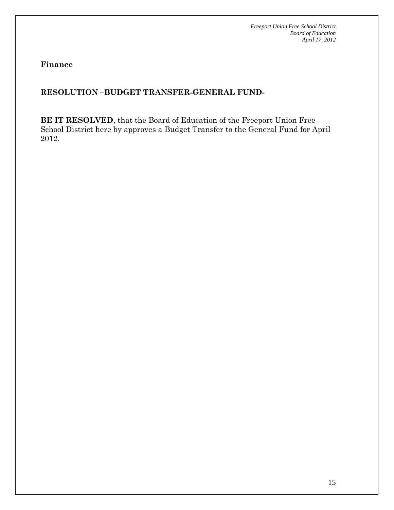**Finance** 

# **RESOLUTION –BUDGET TRANSFER-GENERAL FUND-**

**BE IT RESOLVED**, that the Board of Education of the Freeport Union Free School District here by approves a Budget Transfer to the General Fund for April 2012.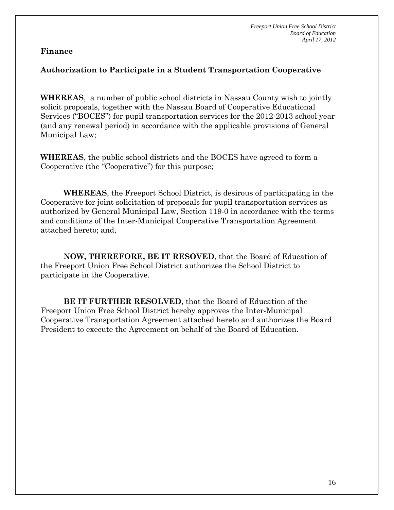### **Authorization to Participate in a Student Transportation Cooperative**

**WHEREAS**, a number of public school districts in Nassau County wish to jointly solicit proposals, together with the Nassau Board of Cooperative Educational Services ("BOCES") for pupil transportation services for the 2012-2013 school year (and any renewal period) in accordance with the applicable provisions of General Municipal Law;

**WHEREAS**, the public school districts and the BOCES have agreed to form a Cooperative (the "Cooperative") for this purpose;

**WHEREAS**, the Freeport School District, is desirous of participating in the Cooperative for joint solicitation of proposals for pupil transportation services as authorized by General Municipal Law, Section 119-0 in accordance with the terms and conditions of the Inter-Municipal Cooperative Transportation Agreement attached hereto; and,

**NOW, THEREFORE, BE IT RESOVED**, that the Board of Education of the Freeport Union Free School District authorizes the School District to participate in the Cooperative.

**BE IT FURTHER RESOLVED**, that the Board of Education of the Freeport Union Free School District hereby approves the Inter-Municipal Cooperative Transportation Agreement attached hereto and authorizes the Board President to execute the Agreement on behalf of the Board of Education.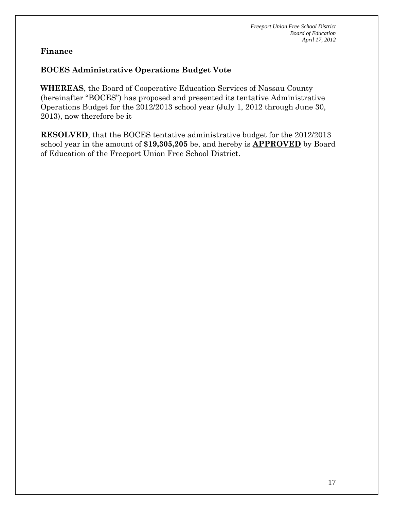# **BOCES Administrative Operations Budget Vote**

**WHEREAS**, the Board of Cooperative Education Services of Nassau County (hereinafter "BOCES") has proposed and presented its tentative Administrative Operations Budget for the 2012/2013 school year (July 1, 2012 through June 30, 2013), now therefore be it

**RESOLVED**, that the BOCES tentative administrative budget for the 2012/2013 school year in the amount of **\$19,305,205** be, and hereby is **APPROVED** by Board of Education of the Freeport Union Free School District.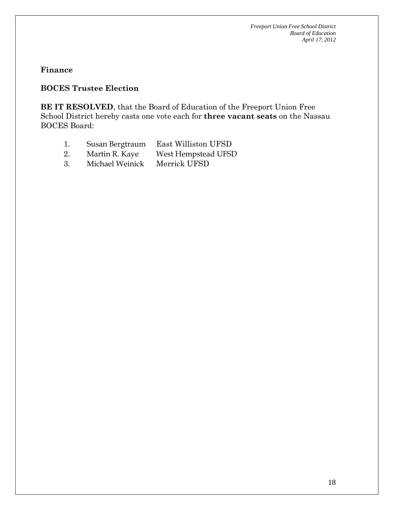#### **Finance**

# **BOCES Trustee Election**

**BE IT RESOLVED**, that the Board of Education of the Freeport Union Free School District hereby casts one vote each for **three vacant seats** on the Nassau BOCES Board:

- 1. Susan Bergtraum East Williston UFSD
- 2. Martin R. Kaye West Hempstead UFSD
- 3. Michael Weinick Merrick UFSD